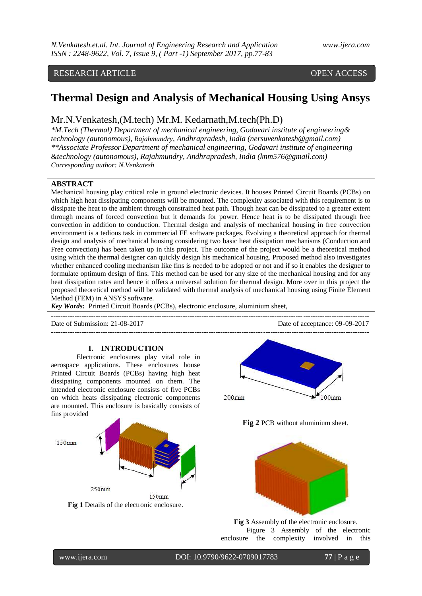# RESEARCH ARTICLE OPEN ACCESS

# **Thermal Design and Analysis of Mechanical Housing Using Ansys**

# Mr.N.Venkatesh,(M.tech) Mr.M. Kedarnath,M.tech(Ph.D)

*\*M.Tech (Thermal) Department of mechanical engineering, Godavari institute of engineering& technology (autonomous), Rajahmundry, Andhrapradesh, India (nersuvenkatesh@gmail.com) \*\*Associate Professor Department of mechanical engineering, Godavari institute of engineering &technology (autonomous), Rajahmundry, Andhrapradesh, India (knm576@gmail.com) Corresponding author: N.Venkatesh*

# **ABSTRACT**

Mechanical housing play critical role in ground electronic devices. It houses Printed Circuit Boards (PCBs) on which high heat dissipating components will be mounted. The complexity associated with this requirement is to dissipate the heat to the ambient through constrained heat path. Though heat can be dissipated to a greater extent through means of forced convection but it demands for power. Hence heat is to be dissipated through free convection in addition to conduction. Thermal design and analysis of mechanical housing in free convection environment is a tedious task in commercial FE software packages. Evolving a theoretical approach for thermal design and analysis of mechanical housing considering two basic heat dissipation mechanisms (Conduction and Free convection) has been taken up in this project. The outcome of the project would be a theoretical method using which the thermal designer can quickly design his mechanical housing. Proposed method also investigates whether enhanced cooling mechanism like fins is needed to be adopted or not and if so it enables the designer to formulate optimum design of fins. This method can be used for any size of the mechanical housing and for any heat dissipation rates and hence it offers a universal solution for thermal design. More over in this project the proposed theoretical method will be validated with thermal analysis of mechanical housing using Finite Element Method (FEM) in ANSYS software.

**---------------------------------------------------------------------------------------------------------------------------------------**

*Key Words***:** Printed Circuit Boards (PCBs), electronic enclosure, aluminium sheet,

Date of Submission: 21-08-2017 Date of acceptance: 09-09-2017

#### **I. INTRODUCTION**

Electronic enclosures play vital role in aerospace applications. These enclosures house Printed Circuit Boards (PCBs) having high heat dissipating components mounted on them. The intended electronic enclosure consists of five PCBs on which heats dissipating electronic components are mounted. This enclosure is basically consists of fins provided





**Fig 2** PCB without aluminium sheet.



**Fig 3** Assembly of the electronic enclosure. Figure 3 Assembly of the electronic enclosure the complexity involved in this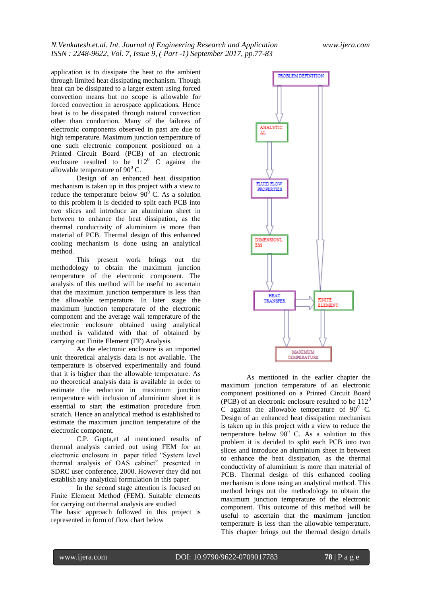application is to dissipate the heat to the ambient through limited heat dissipating mechanism. Though heat can be dissipated to a larger extent using forced convection means but no scope is allowable for forced convection in aerospace applications. Hence heat is to be dissipated through natural convection other than conduction. Many of the failures of electronic components observed in past are due to high temperature. Maximum junction temperature of one such electronic component positioned on a Printed Circuit Board (PCB) of an electronic enclosure resulted to be  $112^{\circ}$  C against the allowable temperature of  $90^0$  C.

Design of an enhanced heat dissipation mechanism is taken up in this project with a view to reduce the temperature below  $90^{\circ}$  C. As a solution to this problem it is decided to split each PCB into two slices and introduce an aluminium sheet in between to enhance the heat dissipation, as the thermal conductivity of aluminium is more than material of PCB. Thermal design of this enhanced cooling mechanism is done using an analytical method.

This present work brings out the methodology to obtain the maximum junction temperature of the electronic component. The analysis of this method will be useful to ascertain that the maximum junction temperature is less than the allowable temperature. In later stage the maximum junction temperature of the electronic component and the average wall temperature of the electronic enclosure obtained using analytical method is validated with that of obtained by carrying out Finite Element (FE) Analysis.

As the electronic enclosure is an imported unit theoretical analysis data is not available. The temperature is observed experimentally and found that it is higher than the allowable temperature. As no theoretical analysis data is available in order to estimate the reduction in maximum junction temperature with inclusion of aluminium sheet it is essential to start the estimation procedure from scratch. Hence an analytical method is established to estimate the maximum junction temperature of the electronic component.

C.P. Gupta,et al mentioned results of thermal analysis carried out using FEM for an electronic enclosure in paper titled "System level thermal analysis of OAS cabinet" presented in SDRC user conference, 2000. However they did not establish any analytical formulation in this paper.

In the second stage attention is focused on Finite Element Method (FEM). Suitable elements for carrying out thermal analysis are studied

The basic approach followed in this project is represented in form of flow chart below



As mentioned in the earlier chapter the maximum junction temperature of an electronic component positioned on a Printed Circuit Board (PCB) of an electronic enclosure resulted to be  $112^0$ C against the allowable temperature of  $90^0$  C. Design of an enhanced heat dissipation mechanism is taken up in this project with a view to reduce the temperature below  $90^{\circ}$  C. As a solution to this problem it is decided to split each PCB into two slices and introduce an aluminium sheet in between to enhance the heat dissipation, as the thermal conductivity of aluminium is more than material of PCB. Thermal design of this enhanced cooling mechanism is done using an analytical method. This method brings out the methodology to obtain the maximum junction temperature of the electronic component. This outcome of this method will be useful to ascertain that the maximum junction temperature is less than the allowable temperature. This chapter brings out the thermal design details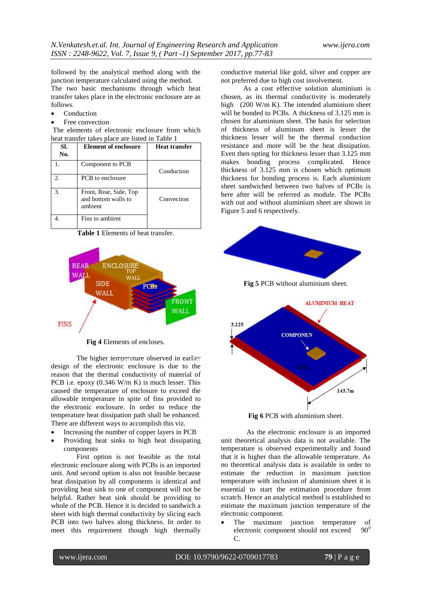followed by the analytical method along with the junction temperature calculated using the method. The two basic mechanisms through which heat transfer takes place in the electronic enclosure are as follows.

- Conduction
- Free convection

The elements of electronic enclosure from which heat transfer takes place are listed in Table 1

| SI.<br>No.                  | <b>Element of enclosure</b>                              | Heat transfer |
|-----------------------------|----------------------------------------------------------|---------------|
|                             | Component to PCB                                         | Conduction    |
| $\mathcal{D}_{\mathcal{A}}$ | <b>PCB</b> to enclosure                                  |               |
| 3.                          | Front, Rear, Side, Top<br>and bottom walls to<br>ambient | Convection    |
|                             | Fins to ambient                                          |               |

**Table 1** Elements of heat transfer.



**Fig 4** Elements of encloses.

The higher temperature observed in earlier design of the electronic enclosure is due to the reason that the thermal conductivity of material of PCB i.e. epoxy (0.346 W/m K) is much lesser. This caused the temperature of enclosure to exceed the allowable temperature in spite of fins provided to the electronic enclosure. In order to reduce the temperature heat dissipation path shall be enhanced. There are different ways to accomplish this viz. mperat<br>.

- Increasing the number of copper layers in PCB
- Providing heat sinks to high heat dissipating components

First option is not feasible as the total electronic enclosure along with PCBs is an imported unit. And second option is also not feasible because heat dissipation by all components is identical and providing heat sink to one of component will not be helpful. Rather heat sink should be providing to whole of the PCB. Hence it is decided to sandwich a sheet with high thermal conductivity by slicing each PCB into two halves along thickness. In order to meet this requirement though high thermally

conductive material like gold, silver and copper are not preferred due to high cost involvement.

As a cost effective solution aluminium is chosen, as its thermal conductivity is moderately high (200 W/m K). The intended aluminium sheet will be bonded to PCBs. A thickness of 3.125 mm is chosen for aluminium sheet. The basis for selection of thickness of aluminum sheet is lesser the thickness lesser will be the thermal conduction resistance and more will be the heat dissipation. Even then opting for thickness lesser than 3.125 mm makes bonding process complicated. Hence thickness of 3.125 mm is chosen which optimum thickness for bonding process is. Each aluminium sheet sandwiched between two halves of PCBs is here after will be referred as module. The PCBs with out and without aluminium sheet are shown in Figure 5 and 6 respectively.



**Fig 6** PCB with aluminium sheet.

As the electronic enclosure is an imported unit theoretical analysis data is not available. The temperature is observed experimentally and found that it is higher than the allowable temperature. As no theoretical analysis data is available in order to estimate the reduction in maximum junction temperature with inclusion of aluminium sheet it is essential to start the estimation procedure from scratch. Hence an analytical method is established to estimate the maximum junction temperature of the electronic component.

 The maximum junction temperature of electronic component should not exceed  $90^0$ C.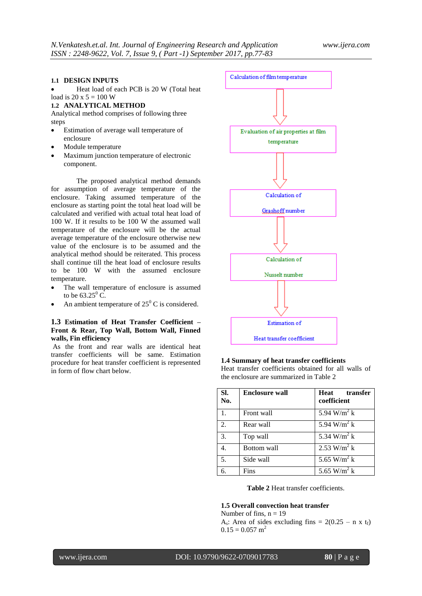# **1.1 DESIGN INPUTS**

Heat load of each PCB is 20 W (Total heat

#### load is  $20 \times 5 = 100$  W **1.2 ANALYTICAL METHOD**

Analytical method comprises of following three

steps

- Estimation of average wall temperature of enclosure
- Module temperature
- Maximum junction temperature of electronic component.

The proposed analytical method demands for assumption of average temperature of the enclosure. Taking assumed temperature of the enclosure as starting point the total heat load will be calculated and verified with actual total heat load of 100 W. If it results to be 100 W the assumed wall temperature of the enclosure will be the actual average temperature of the enclosure otherwise new value of the enclosure is to be assumed and the analytical method should be reiterated. This process shall continue till the heat load of enclosure results to be 100 W with the assumed enclosure temperature.

- The wall temperature of enclosure is assumed to be  $63.25^{\circ}$  C.
- An ambient temperature of  $25^{\circ}$  C is considered.

# **1.3 Estimation of Heat Transfer Coefficient – Front & Rear, Top Wall, Bottom Wall, Finned walls, Fin efficiency**

As the front and rear walls are identical heat transfer coefficients will be same. Estimation procedure for heat transfer coefficient is represented in form of flow chart below.



|  | 1.4 Summary of heat transfer coefficients         |  |  |
|--|---------------------------------------------------|--|--|
|  | Heat transfer coefficients obtained for all walls |  |  |

transfer coefficients obtained for all walls of the enclosure are summarized in Table 2

| SI.<br>No. | <b>Enclosure wall</b> | Heat transfer<br>coefficient |
|------------|-----------------------|------------------------------|
| 1.         | Front wall            | $5.94$ W/m <sup>2</sup> k    |
| 2.         | Rear wall             | 5.94 W/m <sup>2</sup> k      |
| 3.         | Top wall              | 5.34 W/m <sup>2</sup> k      |
| 4.         | Bottom wall           | 2.53 W/m <sup>2</sup> k      |
| 5.         | Side wall             | 5.65 W/m <sup>2</sup> k      |
| б.         | Fins                  | 5.65 W/m <sup>2</sup> k      |

**Table 2** Heat transfer coefficients.

# **1.5 Overall convection heat transfer**

Number of fins,  $n = 19$  $A_s$ : Area of sides excluding fins = 2(0.25 – n x t<sub>f</sub>)  $0.15 = 0.057$  m<sup>2</sup>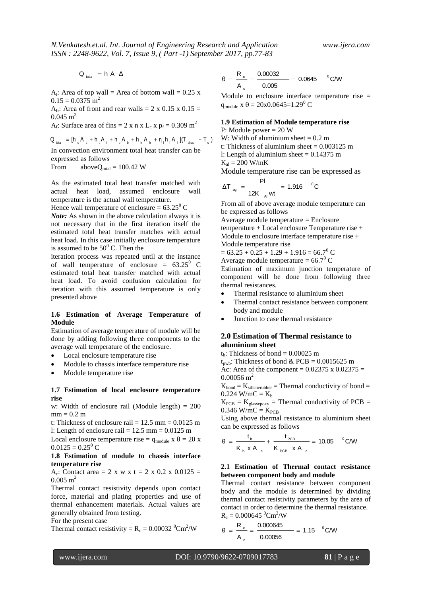$Q_{total}$  = h A  $\Delta$ 

 $A_t$ : Area of top wall = Area of bottom wall = 0.25 x  $0.15 = 0.0375$  m<sup>2</sup>

A<sub>fr</sub>: Area of front and rear walls = 2 x 0.15 x 0.15 =  $0.045$  m<sup>2</sup>

 $A_f$ : Surface area of fins = 2 x n x L<sub>c</sub> x p<sub>f</sub> = 0.309 m<sup>2</sup>

 $Q_{\text{total}} = [h_s A_s + h_t A_t + h_b A_b + h_{tt} A_{tt} + \eta_t h_t A_t] (\text{Total}) - \text{Total}$ 

In convection environment total heat transfer can be expressed as follows

From above $Q_{total} = 100.42$  W

As the estimated total heat transfer matched with actual heat load, assumed enclosure wall temperature is the actual wall temperature.

Hence wall temperature of enclosure =  $63.25^{\circ}$  C

*Note:* As shown in the above calculation always it is not necessary that in the first iteration itself the estimated total heat transfer matches with actual heat load. In this case initially enclosure temperature is assumed to be  $50^{\circ}$  C. Then the

iteration process was repeated until at the instance of wall temperature of enclosure =  $63.25^{\circ}$  C estimated total heat transfer matched with actual heat load. To avoid confusion calculation for iteration with this assumed temperature is only presented above

# **1.6 Estimation of Average Temperature of Module**

Estimation of average temperature of module will be done by adding following three components to the average wall temperature of the enclosure.

- Local enclosure temperature rise
- Module to chassis interface temperature rise
- Module temperature rise

# **1.7 Estimation of local enclosure temperature rise**

w: Width of enclosure rail (Module length) = 200  $mm = 0.2 m$ 

t: Thickness of enclosure rail =  $12.5$  mm =  $0.0125$  m l: Length of enclosure rail =  $12.5 \text{ mm} = 0.0125 \text{ m}$ 

Local enclosure temperature rise =  $q_{\text{module}} x \theta = 20 x$  $0.0125 = 0.25^{\circ}$  C

# **1.8 Estimation of module to chassis interface temperature rise**

A<sub>c</sub>: Contact area = 2 x w x t = 2 x 0.2 x 0.0125 =  $0.005$  m<sup>2</sup>

Thermal contact resistivity depends upon contact force, material and plating properties and use of thermal enhancement materials. Actual values are generally obtained from testing.

For the present case

Thermal contact resistivity =  $R_c = 0.00032 \text{ °Cm}^2/W$ 

$$
\theta = \frac{R_c}{A_c} = \frac{0.00032}{0.005} = 0.0645 \quad \text{°C/W}
$$

Module to enclosure interface temperature rise =  $q_{\text{module}}$  x  $\theta = 20x0.0645=1.29^{\circ}$  C

# **1.9 Estimation of Module temperature rise**

P: Module power = 20 W W: Width of aluminium sheet  $= 0.2$  m

t: Thickness of aluminium sheet  $= 0.003125$  m

l: Length of aluminium sheet  $= 0.14375$  m

$$
K_{al} = 200 \text{ W/mK}
$$

Module temperature rise can be expressed as

$$
\Delta T_{\text{ag}} = \frac{PI}{12K_{\text{Al}} \text{wt}} = 1.916 \text{ °C}
$$

From all of above average module temperature can be expressed as follows

Average module temperature = Enclosure temperature + Local enclosure Temperature rise + Module to enclosure interface temperature rise + Module temperature rise

 $= 63.25 + 0.25 + 1.29 + 1.916 = 66.7^{\circ}$  C

Average module temperature =  $66.7^{\circ}$  C

Estimation of maximum junction temperature of component will be done from following three thermal resistances.

- Thermal resistance to aluminium sheet
- Thermal contact resistance between component body and module
- Junction to case thermal resistance

# **2.0 Estimation of Thermal resistance to aluminium sheet**

t<sub>h</sub>: Thickness of bond =  $0.00025$  m

t<sub>pwb</sub>: Thickness of bond & PCB =  $0.0015625$  m Ac: Area of the component =  $0.02375 \times 0.02375$  =

 $0.00056$  m<sup>2</sup>

 $K_{bond} = K_{silicnerubber} = Thermal conductivity of bond =$  $0.224$  W/mC =  $K_b$ 

 $K_{PCB} = K_{glasspoxy}$  = Thermal conductivity of PCB =  $0.346$  W/mC =  $K_{PCB}$ 

Using above thermal resistance to aluminium sheet can be expressed as follows

$$
\theta = \frac{t_{\text{b}}}{K_{\text{b}} \times A_{\text{c}}} + \frac{t_{\text{PCB}}}{K_{\text{PCB}} \times A_{\text{c}}} = 10.05 \quad \text{°C/W}
$$

# **2.1 Estimation of Thermal contact resistance between component body and module**

Thermal contact resistance between component body and the module is determined by dividing thermal contact resistivity parameters by the area of contact in order to determine the thermal resistance.  $R_c = 0.000645 \text{ °Cm}^2/W$ 

$$
\theta = \frac{R_c}{A_c} = \frac{0.000645}{0.00056} = 1.15 \text{ °C/W}
$$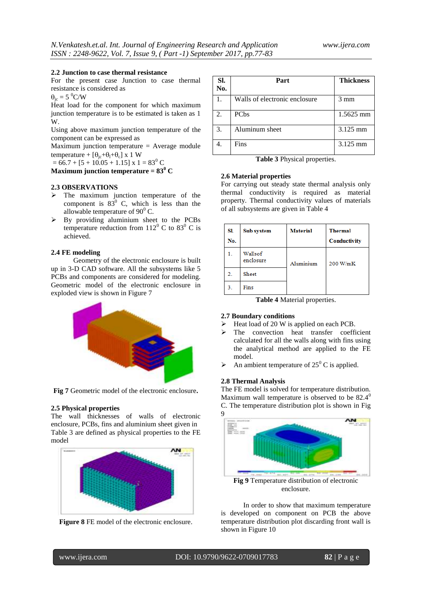#### **2.2 Junction to case thermal resistance**

For the present case Junction to case thermal resistance is considered as

 $\theta_{\rm ic} = 5 \,^0$ C/W

Heat load for the component for which maximum junction temperature is to be estimated is taken as 1 W.

Using above maximum junction temperature of the component can be expressed as

Maximum junction temperature = Average module temperature +  $[\theta_{ic}+\theta_{l}+\theta_{c}]$  x 1 W

 $= 66.7 + [5 + 10.05 + 1.15]$  x 1 = 83<sup>0</sup> C

**Maximum junction temperature =**  $83^{\circ}$  **C** 

# **2.3 OBSERVATIONS**

- $\triangleright$  The maximum junction temperature of the component is  $83^{\circ}$  C, which is less than the allowable temperature of  $90^0$  C.
- $\triangleright$  By providing aluminium sheet to the PCBs temperature reduction from  $112^0$  C to  $83^0$  C is achieved.

# **2.4 FE modeling**

Geometry of the electronic enclosure is built up in 3-D CAD software. All the subsystems like 5 PCBs and components are considered for modeling. Geometric model of the electronic enclosure in exploded view is shown in Figure 7



**Fig 7** Geometric model of the electronic enclosure**.**

# **2.5 Physical properties**

The wall thicknesses of walls of electronic enclosure, PCBs, fins and aluminium sheet given in Table 3 are defined as physical properties to the FE model





| SI.<br>No.     | Part                          | <b>Thickness</b> |
|----------------|-------------------------------|------------------|
| $\mathbf{1}$ . | Walls of electronic enclosure | $3 \text{ mm}$   |
| 2.             | PC <sub>bs</sub>              | 1.5625 mm        |
| 3.             | Aluminum sheet                | 3.125 mm         |
|                | Fins                          | 3.125 mm         |

**Table 3** Physical properties.

#### **2.6 Material properties**

For carrying out steady state thermal analysis only thermal conductivity is required as material property. Thermal conductivity values of materials of all subsystems are given in Table 4

| SI.<br>No.     | Sub system           | <b>Material</b> | <b>Thermal</b><br>Conductivity |
|----------------|----------------------|-----------------|--------------------------------|
|                | Wallsof<br>enclosure | Aluminium       | 200 W/mK                       |
| $\overline{2}$ | Sheet                |                 |                                |
| 3.             | Fins                 |                 |                                |

**Table 4** Material properties.

# **2.7 Boundary conditions**

- $\triangleright$  Heat load of 20 W is applied on each PCB.
- The convection heat transfer coefficient calculated for all the walls along with fins using the analytical method are applied to the FE model.
- An ambient temperature of  $25^{\circ}$  C is applied.

#### **2.8 Thermal Analysis**

The FE model is solved for temperature distribution. Maximum wall temperature is observed to be  $82.4^{\circ}$ C. The temperature distribution plot is shown in Fig 9



enclosure.

In order to show that maximum temperature is developed on component on PCB the above temperature distribution plot discarding front wall is shown in Figure 10